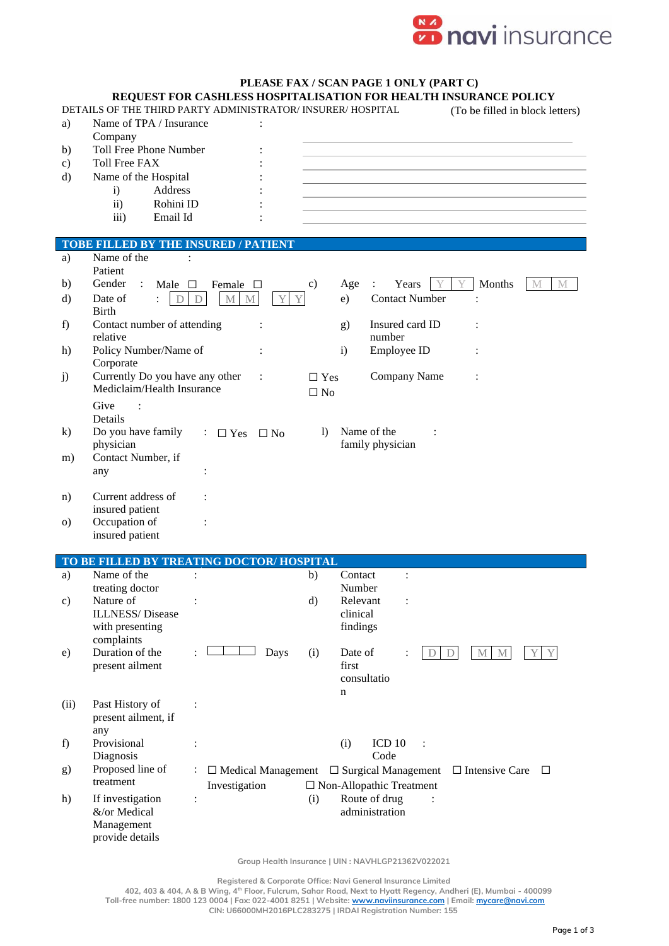

|  |  |  |  | PLEASE FAX / SCAN PAGE 1 ONLY (PART C) |  |
|--|--|--|--|----------------------------------------|--|
|  |  |  |  |                                        |  |

| a)<br>b)<br>$\mathbf{c})$<br>d) | REQUEST FOR CASHLESS HOSPITALISATION FOR HEALTH INSURANCE POLICY<br>DETAILS OF THE THIRD PARTY ADMINISTRATOR/ INSURER/ HOSPITAL<br>Name of TPA / Insurance<br>Company<br><b>Toll Free Phone Number</b><br><b>Toll Free FAX</b><br>Name of the Hospital<br>Address<br>$\mathbf{i}$<br>$\mathbf{ii}$<br>Rohini ID<br>Email Id<br>iii) |                                                     |                      |                         |                                      | PLEASE FAX / SCAN PAGE I UNLI (PAKI C)                             |        |                            | (To be filled in block letters) |
|---------------------------------|-------------------------------------------------------------------------------------------------------------------------------------------------------------------------------------------------------------------------------------------------------------------------------------------------------------------------------------|-----------------------------------------------------|----------------------|-------------------------|--------------------------------------|--------------------------------------------------------------------|--------|----------------------------|---------------------------------|
|                                 | <b>TOBE FILLED BY THE INSURED / PATIENT</b>                                                                                                                                                                                                                                                                                         |                                                     |                      |                         |                                      |                                                                    |        |                            |                                 |
| a)<br>b)<br>d)                  | Name of the<br>$\ddot{\cdot}$<br>Patient<br>Gender<br>$\ddot{\cdot}$<br>Male $\square$<br>Date of<br>$\ddot{\cdot}$<br>D                                                                                                                                                                                                            | Female<br>$\Box$<br>$\mathbf M$<br>$\mathbf D$<br>M | Y<br>Y               | c)                      | Age<br>e)                            | Years<br>$\ddot{\cdot}$<br><b>Contact Number</b>                   |        | Months                     | M<br>M                          |
| f)                              | <b>Birth</b><br>Contact number of attending<br>relative                                                                                                                                                                                                                                                                             |                                                     |                      |                         | g)                                   | Insured card ID<br>number                                          |        |                            |                                 |
| h)                              | Policy Number/Name of<br>Corporate                                                                                                                                                                                                                                                                                                  |                                                     |                      |                         | $\mathbf{i}$                         | Employee ID                                                        |        |                            |                                 |
| j)                              | Currently Do you have any other<br>Mediclaim/Health Insurance<br>Give                                                                                                                                                                                                                                                               |                                                     | $\ddot{\phantom{a}}$ | $\Box$ Yes<br>$\Box$ No |                                      | Company Name                                                       |        |                            |                                 |
| $\bf k$                         | Details<br>Do you have family<br>physician                                                                                                                                                                                                                                                                                          | $\therefore$ $\Box$ Yes                             | $\Box$ No            | $\mathbf{D}$            |                                      | Name of the<br>family physician                                    |        |                            |                                 |
| m)                              | Contact Number, if<br>any                                                                                                                                                                                                                                                                                                           |                                                     |                      |                         |                                      |                                                                    |        |                            |                                 |
| n)                              | Current address of<br>insured patient                                                                                                                                                                                                                                                                                               |                                                     |                      |                         |                                      |                                                                    |        |                            |                                 |
| $\circ$ )                       | Occupation of<br>insured patient                                                                                                                                                                                                                                                                                                    |                                                     |                      |                         |                                      |                                                                    |        |                            |                                 |
|                                 | TO BE FILLED BY TREATING DOCTOR/HOSPITAL                                                                                                                                                                                                                                                                                            |                                                     |                      |                         |                                      |                                                                    |        |                            |                                 |
| a)                              | Name of the<br>treating doctor                                                                                                                                                                                                                                                                                                      |                                                     |                      | b)                      | Contact<br>Number                    |                                                                    |        |                            |                                 |
| $\mathbf{c})$                   | Nature of<br><b>ILLNESS/Disease</b><br>with presenting<br>complaints                                                                                                                                                                                                                                                                |                                                     |                      | $\rm d)$                | Relevant<br>clinical<br>findings     |                                                                    |        |                            |                                 |
| e)                              | Duration of the<br>present ailment                                                                                                                                                                                                                                                                                                  |                                                     | Days                 | (i)                     | Date of<br>first<br>consultatio<br>n |                                                                    | D<br>D | $M_{\odot}$<br>$\mathbf M$ | Y.                              |
| (ii)                            | Past History of<br>present ailment, if<br>any                                                                                                                                                                                                                                                                                       |                                                     |                      |                         |                                      |                                                                    |        |                            |                                 |
| f)                              | Provisional<br>Diagnosis                                                                                                                                                                                                                                                                                                            | :                                                   |                      |                         | (i)                                  | ICD <sub>10</sub><br>Code                                          |        |                            |                                 |
| g)                              | Proposed line of<br>treatment                                                                                                                                                                                                                                                                                                       | $\ddot{\cdot}$<br>$\Box$ Medical Management         |                      |                         |                                      | $\Box$ Surgical Management                                         |        | $\Box$ Intensive Care      | ⊔                               |
| h)                              | If investigation<br>&/or Medical<br>Management<br>provide details                                                                                                                                                                                                                                                                   | Investigation<br>$\ddot{\cdot}$                     |                      | (i)                     |                                      | $\Box$ Non-Allopathic Treatment<br>Route of drug<br>administration |        |                            |                                 |
|                                 |                                                                                                                                                                                                                                                                                                                                     |                                                     |                      |                         |                                      | Group Health Insurance   UIN : NAVHLGP21362V022021                 |        |                            |                                 |

 **Registered & Corporate Office: Navi General Insurance Limited**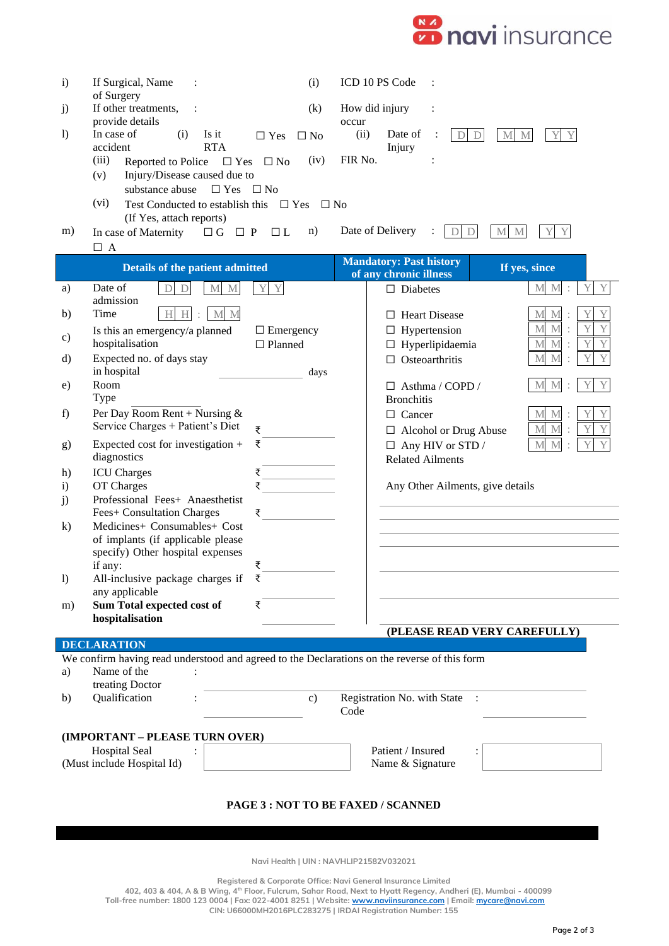

| $\mathbf{i}$                                       | If Surgical, Name                                                                            | (i)                     | ICD 10 PS Code                                                                          |  |  |  |  |
|----------------------------------------------------|----------------------------------------------------------------------------------------------|-------------------------|-----------------------------------------------------------------------------------------|--|--|--|--|
|                                                    | of Surgery                                                                                   |                         |                                                                                         |  |  |  |  |
| j)                                                 | If other treatments,<br>$\ddot{\cdot}$                                                       | (k)                     | How did injury<br>$\ddot{\cdot}$                                                        |  |  |  |  |
| $\left( \right)$                                   | provide details<br>In case of<br>(i)<br>Is it                                                | $\Box$ Yes<br>$\Box$ No | occur<br>(ii)<br>Date of<br>$\mathbf{M}$<br>$\mathbf{M}$<br>Y<br>$\mathbb{D}$<br>Y<br>D |  |  |  |  |
|                                                    | accident<br><b>RTA</b>                                                                       |                         | Injury                                                                                  |  |  |  |  |
|                                                    | (iii)<br>Reported to Police<br>$\Box$ Yes                                                    | (iv)<br>$\Box$ No       | FIR No.                                                                                 |  |  |  |  |
|                                                    | Injury/Disease caused due to<br>(v)<br>$\Box$ Yes<br>substance abuse                         | $\Box$ No               |                                                                                         |  |  |  |  |
|                                                    | (vi)<br>Test Conducted to establish this $\Box$ Yes                                          | $\Box$ No               |                                                                                         |  |  |  |  |
|                                                    | (If Yes, attach reports)                                                                     |                         |                                                                                         |  |  |  |  |
| m)                                                 | $\Box G$<br>$\Box$ P<br>In case of Maternity<br>$\Box$ A                                     | n)<br>$\Box$ L          | Date of Delivery<br>$\mathbf{D}$<br>M<br>M<br>D                                         |  |  |  |  |
|                                                    | <b>Details of the patient admitted</b>                                                       |                         | <b>Mandatory: Past history</b><br>If yes, since<br>of any chronic illness               |  |  |  |  |
| a)                                                 | Date of<br>$\mathbf D$<br>$M_{\odot}$<br>M<br>D                                              | Y<br>Y                  | $\mathbf Y$<br>Y<br>$\mathbf{M}$<br>$\mathbf M$<br>$\Box$ Diabetes                      |  |  |  |  |
| b)                                                 | admission<br>Time<br>H<br>H<br>M<br>M                                                        |                         | <b>Heart Disease</b><br>М<br>M                                                          |  |  |  |  |
|                                                    | Is this an emergency/a planned                                                               | $\Box$ Emergency        | $\perp$<br>$\mathbf{M}$<br>Y<br>Y<br>M<br>Hypertension<br>ш                             |  |  |  |  |
| c)                                                 | hospitalisation                                                                              | $\Box$ Planned          | $\mathbf{M}$<br>Hyperlipidaemia<br>M<br>ப                                               |  |  |  |  |
| d)                                                 | Expected no. of days stay                                                                    |                         | M<br>M<br>Osteoarthritis<br>□                                                           |  |  |  |  |
| e)                                                 | in hospital<br>Room                                                                          | days                    | M<br>$\Box$ Asthma / COPD /<br>М                                                        |  |  |  |  |
|                                                    | Type                                                                                         |                         | <b>Bronchitis</b>                                                                       |  |  |  |  |
| f)                                                 | Per Day Room Rent + Nursing $&$                                                              |                         | $\Box$ Cancer<br>М                                                                      |  |  |  |  |
|                                                    | Service Charges + Patient's Diet                                                             | ₹<br>₹                  | M<br>M<br>$\Box$ Alcohol or Drug Abuse<br>M                                             |  |  |  |  |
| g)                                                 | Expected cost for investigation +<br>diagnostics                                             |                         | M<br>$\Box$ Any HIV or STD /<br><b>Related Ailments</b>                                 |  |  |  |  |
| h)                                                 | <b>ICU</b> Charges                                                                           |                         |                                                                                         |  |  |  |  |
| $\mathbf{i}$                                       | OT Charges                                                                                   | ₹                       | Any Other Ailments, give details                                                        |  |  |  |  |
| j)                                                 | Professional Fees+ Anaesthetist<br>Fees+ Consultation Charges                                | ₹                       |                                                                                         |  |  |  |  |
| $\bf k)$                                           | Medicines+ Consumables+ Cost                                                                 |                         |                                                                                         |  |  |  |  |
|                                                    | of implants (if applicable please<br>specify) Other hospital expenses                        |                         |                                                                                         |  |  |  |  |
|                                                    | if any:                                                                                      | ₹                       |                                                                                         |  |  |  |  |
| $\mathbf{I}$                                       | All-inclusive package charges if                                                             |                         |                                                                                         |  |  |  |  |
| m)                                                 | any applicable<br>Sum Total expected cost of                                                 | ₹                       |                                                                                         |  |  |  |  |
|                                                    | hospitalisation                                                                              |                         |                                                                                         |  |  |  |  |
| (PLEASE READ VERY CAREFULLY)<br><b>DECLARATION</b> |                                                                                              |                         |                                                                                         |  |  |  |  |
|                                                    | We confirm having read understood and agreed to the Declarations on the reverse of this form |                         |                                                                                         |  |  |  |  |
| a)                                                 | Name of the<br>treating Doctor                                                               |                         |                                                                                         |  |  |  |  |
| b)                                                 | Qualification                                                                                | $\mathbf{c})$           | Registration No. with State                                                             |  |  |  |  |
|                                                    |                                                                                              |                         | Code                                                                                    |  |  |  |  |
| (IMPORTANT - PLEASE TURN OVER)                     |                                                                                              |                         |                                                                                         |  |  |  |  |
|                                                    | <b>Hospital Seal</b>                                                                         |                         | Patient / Insured                                                                       |  |  |  |  |
|                                                    | (Must include Hospital Id)                                                                   |                         | Name & Signature                                                                        |  |  |  |  |
|                                                    |                                                                                              |                         |                                                                                         |  |  |  |  |
| PAGE 3 : NOT TO BE FAXED / SCANNED                 |                                                                                              |                         |                                                                                         |  |  |  |  |
|                                                    |                                                                                              |                         |                                                                                         |  |  |  |  |

**Navi Health | UIN : NAVHLIP21582V032021**

 **Registered & Corporate Office: Navi General Insurance Limited**

 **402, 403 & 404, A & B Wing, 4th Floor, Fulcrum, Sahar Road, Next to Hyatt Regency, Andheri (E), Mumbai - 400099 Toll-free number: 1800 123 0004 | Fax: 022-4001 8251 | Website[: www.naviinsurance.com](http://www.naviinsurance.com/) | Email: [mycare@navi.com](mailto:mycare@navi.com) CIN: U66000MH2016PLC283275 | IRDAI Registration Number: 155**